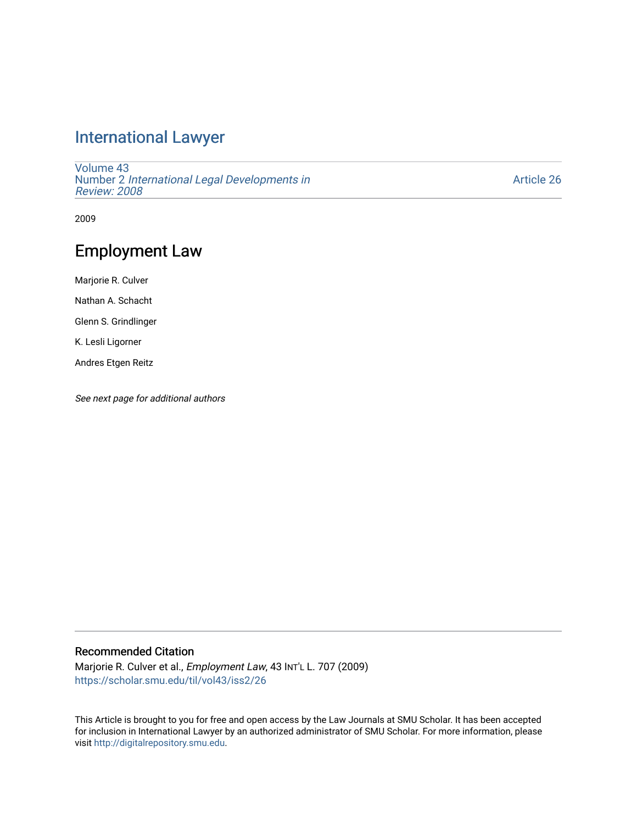# [International Lawyer](https://scholar.smu.edu/til)

[Volume 43](https://scholar.smu.edu/til/vol43) Number 2 [International Legal Developments in](https://scholar.smu.edu/til/vol43/iss2)  [Review: 2008](https://scholar.smu.edu/til/vol43/iss2) 

[Article 26](https://scholar.smu.edu/til/vol43/iss2/26) 

2009

# Employment Law

Marjorie R. Culver Nathan A. Schacht Glenn S. Grindlinger

K. Lesli Ligorner

Andres Etgen Reitz

See next page for additional authors

# Recommended Citation

Marjorie R. Culver et al., Employment Law, 43 INT'L L. 707 (2009) [https://scholar.smu.edu/til/vol43/iss2/26](https://scholar.smu.edu/til/vol43/iss2/26?utm_source=scholar.smu.edu%2Ftil%2Fvol43%2Fiss2%2F26&utm_medium=PDF&utm_campaign=PDFCoverPages)

This Article is brought to you for free and open access by the Law Journals at SMU Scholar. It has been accepted for inclusion in International Lawyer by an authorized administrator of SMU Scholar. For more information, please visit [http://digitalrepository.smu.edu](http://digitalrepository.smu.edu/).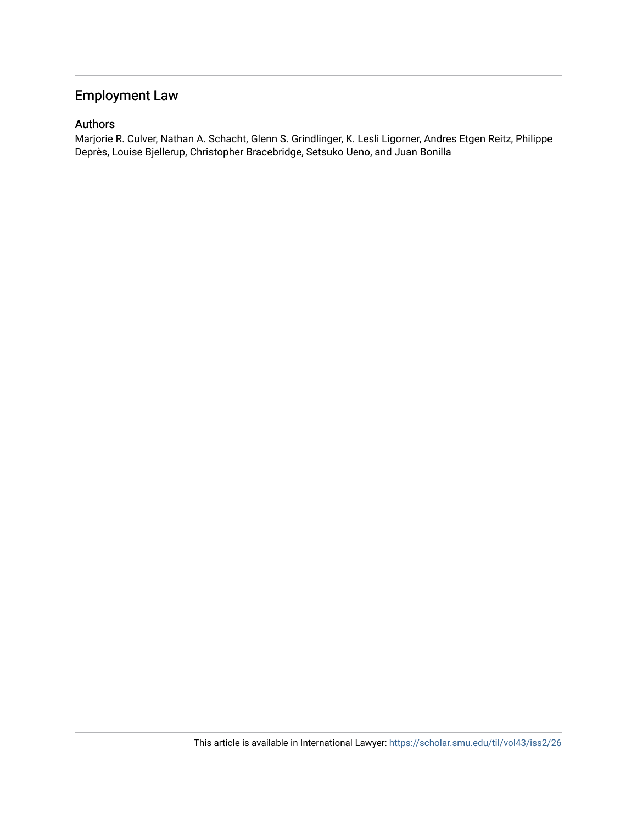# Employment Law

# Authors

Marjorie R. Culver, Nathan A. Schacht, Glenn S. Grindlinger, K. Lesli Ligorner, Andres Etgen Reitz, Philippe Deprès, Louise Bjellerup, Christopher Bracebridge, Setsuko Ueno, and Juan Bonilla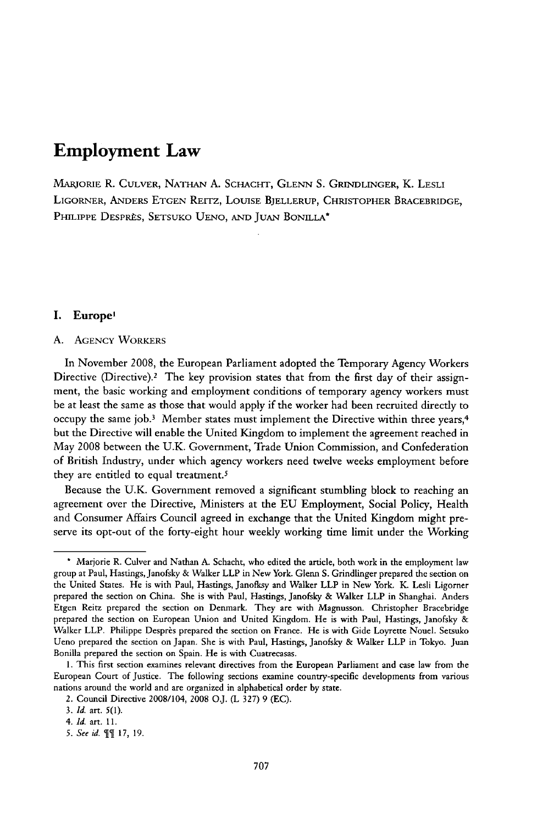# **Employment Law**

MARJORIE R. CULVER, NATHAN A. SCHACHT, GLENN S. GRINDLINGER, K. LESLI LIGORNER, ANDERS ETGEN REITZ, LOUISE BJELLERUP, CHRISTOPHER BRACEBRIDGE, PHILIPPE DESPRÈS, SETSUKO UENO, AND JUAN BONILLA<sup>\*</sup>

# I. Europe'

#### A. AGENCY WORKERS

In November 2008, the European Parliament adopted the Temporary Agency Workers Directive (Directive).2 The key provision states that from the first day of their assignment, the basic working and employment conditions of temporary agency workers must be at least the same as those that would apply if the worker had been recruited directly to occupy the same **job. <sup>3</sup>**Member states must implement the Directive within three years, <sup>4</sup> but the Directive will enable the United Kingdom to implement the agreement reached in May 2008 between the U.K. Government, Trade Union Commission, and Confederation of British Industry, under which agency workers need twelve weeks employment before they are entitled to equal treatment.5

Because the U.K. Government removed a significant stumbling block to reaching an agreement over the Directive, Ministers at the EU Employment, Social Policy, Health and Consumer Affairs Council agreed in exchange that the United Kingdom might preserve its opt-out of the forty-eight hour weekly working time limit under the Working

**<sup>\*</sup>** Marjorie R. Culver and Nathan A. Schacht, who edited the article, both work in the employment law group at Paul, Hastings, Janofsky & Walker LLP in New York. Glenn S. Grindlinger prepared the section on the United States. He is with Paul, Hastings, Janoflsy and Walker LLP in New York. K. Lesli Ligorner prepared the section on China. She is with Paul, Hastings, Janofsky & Walker LLP in Shanghai. Anders Etgen Reitz prepared the section on Denmark. They are with Magnusson. Christopher Bracebridge prepared the section on European Union and United Kingdom. He is with Paul, Hastings, Janofsky & Walker LLP. Philippe Desprès prepared the section on France. He is with Gide Loyrette Nouel. Setsuko Ueno prepared the section on Japan. She is with Paul, Hastings, Janofsky & Walker LLP in Tokyo. Juan Bonilla prepared the section on Spain. He is with Cuatrecasas.

<sup>1.</sup> This first section examines relevant directives from the European Parliament and case law from the European Court of Justice. The following sections examine country-specific developments from various nations around the world and are organized in alphabetical order by state.

<sup>2.</sup> Council Directive 2008/104, 2008 **O.J.** (L 327) 9 (EC).

*<sup>3.</sup> Id.* art. *5(1).*

*<sup>4.</sup>* Id. art. 11.

*<sup>5.</sup> See id.* TT 17, 19.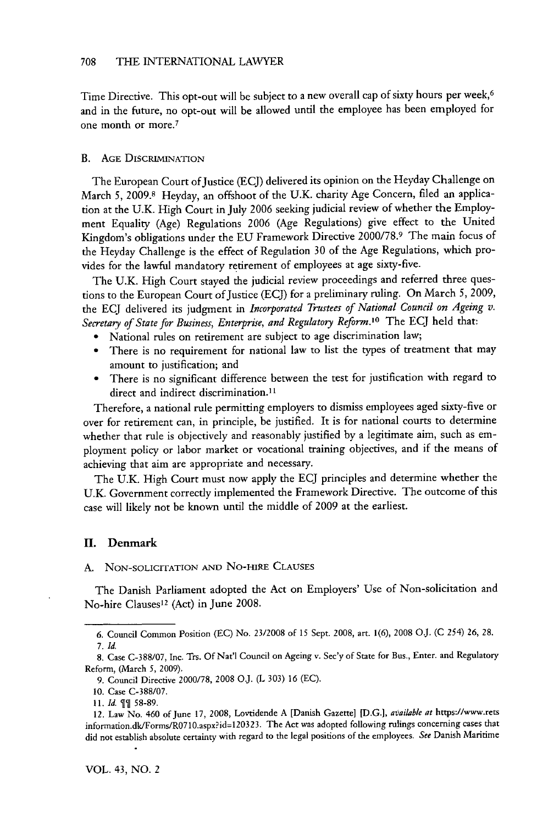Time Directive. This opt-out will be subject to a new overall cap of sixty hours per week,<sup>6</sup> and in the future, no opt-out will be allowed until the employee has been employed for one month or more.<sup>7</sup>

# **B.** AGE DISCRIMINATION

The European Court of Justice (ECJ) delivered its opinion on the Heyday Challenge on March 5, 2009.8 Heyday, an offshoot of the U.K. charity Age Concern, filed an application at the U.K. High Court in July 2006 seeking judicial review of whether the Employment Equality (Age) Regulations 2006 (Age Regulations) give effect to the United Kingdom's obligations under the EU Framework Directive 2000/78.9 The main focus of the Heyday Challenge is the effect of Regulation 30 of the Age Regulations, which provides for the lawful mandatory retirement of employees at age sixty-five.

The U.K. High Court stayed the judicial review proceedings and referred three questions to the European Court of Justice (ECJ) for a preliminary ruling. On March 5, **2009,** the ECJ delivered its judgment in *Incorporated Trustees of National Council on Ageing v. Secretary of State for Business, Enterprise, and Regulatory Reform.*<sup>10</sup> The ECJ held that:

- **"** National rules on retirement are subject to age discrimination law;
- \* There is no requirement for national law to list the types of treatment that may amount to justification; and
- **"** There is no significant difference between the test for justification with regard to direct and indirect discrimination.<sup>11</sup>

Therefore, a national rule permitting employers to dismiss employees aged sixty-five or over for retirement can, in principle, be justified. It is for national courts to determine whether that rule is objectively and reasonably justified by a legitimate aim, such as employment policy or labor market or vocational training objectives, and if the means of achieving that aim are appropriate and necessary.

The U.K. High Court must now apply the ECJ principles and determine whether the U.K. Government correctly implemented the Framework Directive. The outcome of this case will likely not be known until the middle of 2009 at the earliest.

#### **II. Denmark**

A. NON-SOLIcrATION **AND** No-HIRE CLAUSES

The Danish Parliament adopted the Act on Employers' Use of Non-solicitation and No-hire Clauses<sup>12</sup> (Act) in June 2008.

<sup>6.</sup> Council Common Position (EC) No. 23/2008 of *15* Sept. 2008, art. 1(6), 2008 OJ. (C 254) 26, 28. 7. *Id.*

<sup>8.</sup> Case C-388/07, Inc. Trs. **Of** Nat'l Council on Ageing v. Sec'y of State for Bus., Enter. and Regulatory Reform, (March 5, 2009).

<sup>9.</sup> Council Directive 2000/78, 2008 O.J. (L 303) 16 (EC).

<sup>10.</sup> Case C-388/07.

<sup>11.</sup> *Id. 9]* 58-89.

<sup>12.</sup> Law No. 460 of June 17, 2008, Lovtidende A [Danish Gazette] [D.G.], *available at* https://www.rets information.dk/Forms/R0710.aspx?id=120323. The Act was adopted following rulings concerning cases that did not establish absolute certainty with regard to the legal positions of the employees. *See* Danish Maritime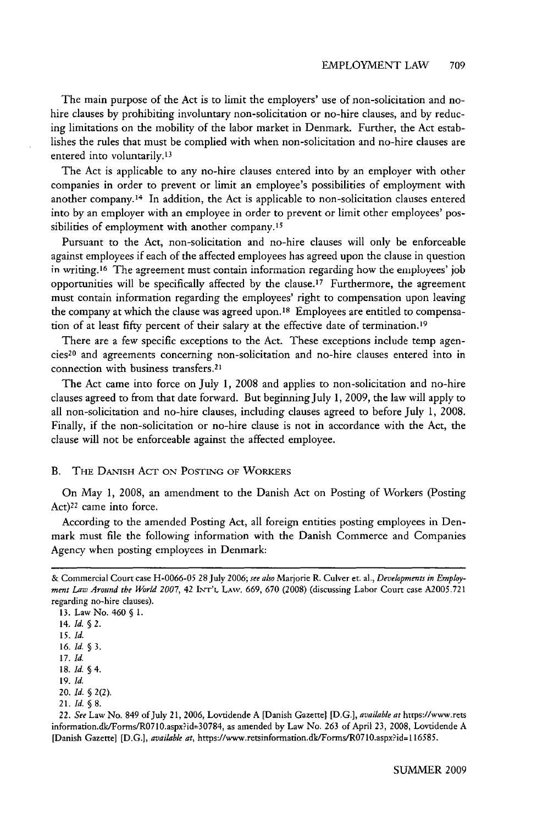The main purpose of the Act is to limit the employers' use of non-solicitation and nohire clauses by prohibiting involuntary non-solicitation or no-hire clauses, and by reducing limitations on the mobility of the labor market in Denmark. Further, the Act establishes the rules that must be complied with when non-solicitation and no-hire clauses are entered into voluntarily.<sup>13</sup>

The Act is applicable to any no-hire clauses entered into by an employer with other companies in order to prevent or limit an employee's possibilities of employment with another company. 14 In addition, the Act is applicable to non-solicitation clauses entered into by an employer with an employee in order to prevent or limit other employees' possibilities of employment with another company.<sup>15</sup>

Pursuant to the Act, non-solicitation and no-hire clauses will only be enforceable against employees if each of the affected employees has agreed upon the clause in question in writing.16 The agreement must contain information regarding how **the** employees' job opportunities will be specifically affected by the clause. 17 Furthermore, the agreement must contain information regarding the employees' right to compensation upon leaving the company at which the clause was agreed upon.<sup>18</sup> Employees are entitled to compensation of at least fifty percent of their salary at the effective date of termination.<sup>19</sup>

There are a few specific exceptions to the Act. These exceptions include temp agencies20 and agreements concerning non-solicitation and no-hire clauses entered into in connection with business transfers.<sup>2</sup>

The Act came into force on July 1, 2008 and applies to non-solicitation and no-hire clauses agreed to from that date forward. But beginningJuly 1, 2009, the law will apply to all non-solicitation and no-hire clauses, including clauses agreed to before July 1, 2008. Finally, if the non-solicitation or no-hire clause is not in accordance with the Act, the clause will not be enforceable against the affected employee.

#### **B.** THE DANISH ACT ON POSTING OF WORKERS

On May 1, 2008, an amendment to the Danish Act on Posting of Workers (Posting Act)<sup>22</sup> came into force.

According to the amended Posting Act, all foreign entities posting employees in Denmark must file the following information with the Danish Commerce and Companies Agency when posting employees in Denmark:

- 20. *Id.* § 2(2).
- 21. *Id.* § 8.

<sup>&</sup>amp; Commercial Court case H-0066-05 28 July 2006; *see also* Marjorie R. Culver et. al., *Developments in Employment Law Around the* World *2007,* 42 INT'L LAw. 669, 670 (2008) (discussing Labor Court case A2005.721 regarding no-hire clauses).

<sup>13.</sup> Law No. 460 **§** 1.

<sup>14.</sup> *Id. § 2.*

*<sup>15.</sup> Id.* 16. *Id.* § 3.

<sup>17.</sup> *Id.*

<sup>18.</sup> *Id.* § 4.

<sup>19.</sup> *Id.*

<sup>22.</sup> *See* Law No. 849 of July 21, **2006,** Lovtidende **A** [Danish Gazettel **[D.G.],** *available at* htups:/wvw.rets information.dk/Forms/R0710.aspx?id=30784, as amended by Law No. **263** of April **23, 2008,** Lovtidende **A** [Danish Gazette] **[D.G.],** *available at,* https://www.retsinformation.dk/Forms/R0710.aspx?id=l **16585.**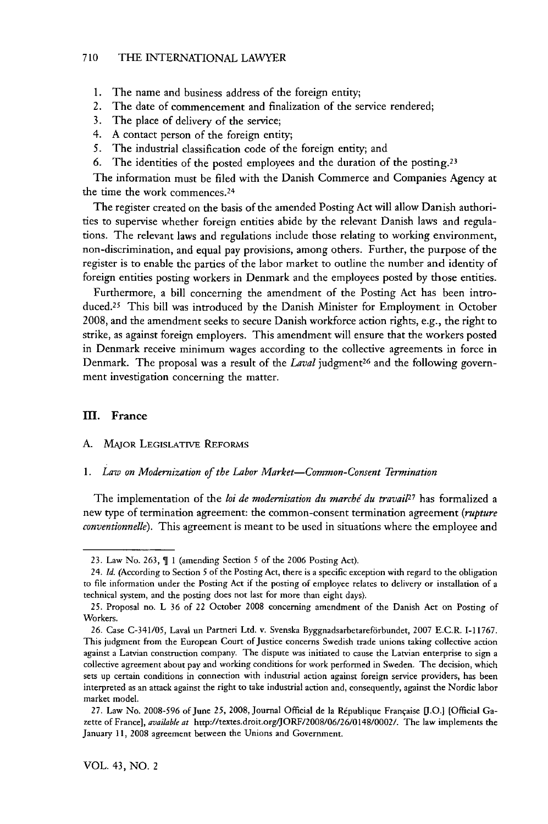#### 710 THE INTERNATIONAL LAWYER

- 1. The name and business address of the foreign entity;
- 2. The date of commencement and finalization of the service rendered;
- 3. The place of delivery of the service;
- 4. A contact person of the foreign entity;
- *5.* The industrial classification code of the foreign entity; and
- 6. The identities of the posted employees and the duration of the posting.<sup>23</sup>

The information must be filed with the Danish Commerce and Companies Agency at the time the work commences. <sup>24</sup>

The register created on the basis of the amended Posting Act will allow Danish authorities to supervise whether foreign entities abide by the relevant Danish laws and regulations. The relevant laws and regulations include those relating to working environment, non-discrimination, and equal pay provisions, among others. Further, the purpose of the register is to enable the parties of the labor market to outline the number and identity of foreign entities posting workers in Denmark and the employees posted by those entities.

Furthermore, a bill concerning the amendment of the Posting Act has been introduced.25 This bill was introduced by the Danish Minister for Employment in October 2008, and the amendment seeks to secure Danish workforce action rights, e.g., the right to strike, as against foreign employers. This amendment will ensure that the workers posted in Denmark receive minimum wages according to the collective agreements in force in Denmark. The proposal was a result of the *Laval* judgment<sup>26</sup> and the following government investigation concerning the matter.

## III. France

# A. MAJOR LEGISLATIVE **REFORMS**

#### *1. Law on Modernization of the Labor Market-Common-Consent Termination*

The implementation of the *loi de modernisation du marche du travail27* has formalized a new type of termination agreement: the common-consent termination agreement *(rupture conventionnelle).* This agreement is meant to be used in situations where the employee and

<sup>23.</sup> Law No. 263,  $\P$  1 (amending Section 5 of the 2006 Posting Act).

<sup>24.</sup> *Id.* (According to Section *5* of the Posting Act, there is a specific exception with regard to the obligation to file information under the Posting Act if the posting of employee relates to delivery or installation of a technical system, and the posting does not last for more than eight days).

<sup>25.</sup> Proposal no. L 36 of 22 October 2008 concerning amendment of the Danish Act on Posting of Workers.

<sup>26.</sup> Case C-341/05, Laval un Partneri Ltd. v. Svenska Byggnadsarbetareförbundet, 2007 E.C.R. I-11767. This judgment from the European Court of Justice concerns Swedish trade unions taking collective action against a Latvian construction company. The dispute was initiated to cause the Latvian enterprise to sign a collective agreement about pay and working conditions for work performed in Sweden. The decision, which sets up certain conditions in connection with industrial action against foreign service providers, has been interpreted as an attack against the right to take industrial action and, consequently, against the Nordic labor market model.

<sup>27.</sup> Law No. 2008-596 of June 25, 2008, Journal Official de la Rtpublique Frangaise **[.0.1** [Official Gazette of France], *available at* http://textes.droit.org/JORF/2008/06/26/0148/0002/. The law implements the January 11, 2008 agreement between the Unions and Government.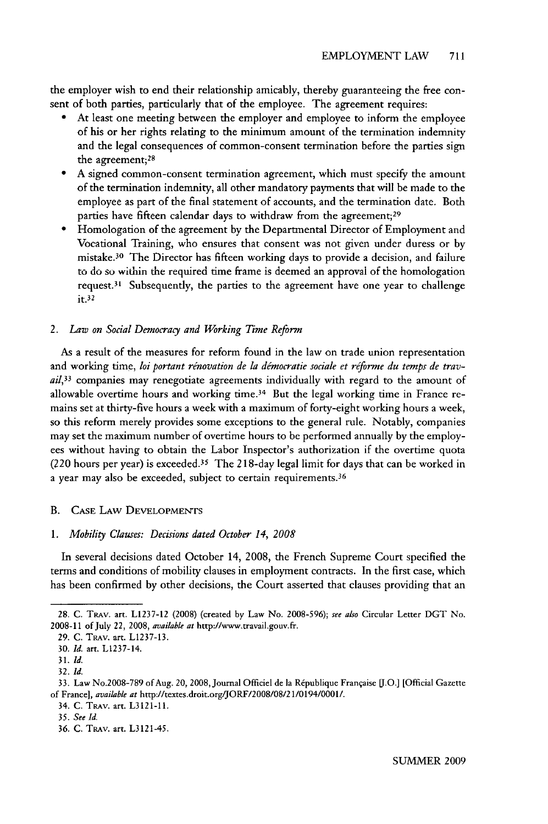the employer wish to end their relationship amicably, thereby guaranteeing the free consent of both parties, particularly that of the employee. The agreement requires:

- At least one meeting between the employer and employee to inform the employee of his or her rights relating to the minimum amount of the termination indemnity and the legal consequences of common-consent termination before the parties sign the agreement;<sup>28</sup>
- **" A** signed common-consent termination agreement, which must specify the amount of the termination indemnity, all other mandatory payments that will be made to the employee as part of the final statement of accounts, and the termination date. Both parties have fifteen calendar days to withdraw from the agreement;<sup>29</sup>
- **"** Homologation of the agreement **by** the Departmental Director of Employment and Vocational Training, who ensures that consent was not given under duress or **by** mistake. 30 The Director has fifteen working days to provide a decision, and failure to **do** *so* within the required time **frame** is deemed an approval of the homologation request. 31 Subsequently, the parties to the agreement have one year to challenge **it.32**

## *2. Law on Social Democracy and Working Time Reform*

As a result of the measures for reform found in the law on trade union representation and working time, loi portant rénovation de la démocratie sociale et réforme du temps de trav*ail,33* companies may renegotiate agreements individually with regard to the amount of allowable overtime hours and working time.34 But the legal working time in France remains set at thirty-five hours a week with a maximum of forty-eight working hours a week, so this reform merely provides some exceptions to the general rule. Notably, companies may set the maximum number of overtime hours to be performed annually by the employees without having to obtain the Labor Inspector's authorization if the overtime quota (220 hours per year) is exceeded. 35 The 218-day legal limit for days that can be worked in a year may also be exceeded, subject to certain requirements. <sup>36</sup>

#### B. **CASE** LAW **DEVELOPMENTS**

### *1. Mobility Clauses: Decisions dated October 14, 2008*

In several decisions dated October 14, **2008,** the French Supreme Court specified the terms and conditions of mobility clauses in employment contracts. In the first case, which has been confirmed by other decisions, the Court asserted that clauses providing that an

**<sup>28.</sup> C.** TRAv. art. **L1237-12 (2008)** (created by Law No. **2008-596);** *see also* Circular Letter **DGT** No. **2008-11** of July 22, **2008,** *available at* http://www.travail.gouv.fr.

**<sup>29.</sup> C.** TRAv. art. **L1237-13.**

**<sup>30.</sup>** *Id.* art. L1237-14.

*<sup>31.</sup> Id.*

**<sup>32.</sup>** *Id.*

<sup>33.</sup> Law No.2008-789 of Aug. 20, 2008, Journal Officiel de la République Française [J.O.] [Official Gazette of France], *available at* http://textes.droit.org/JORF/2008/08/21/0194/0001/. **3 4. C. TRAY. art. L3 12 1-11.**

*<sup>35.</sup> See Id.*

<sup>36.</sup> C. TRAv. art. L3121-45.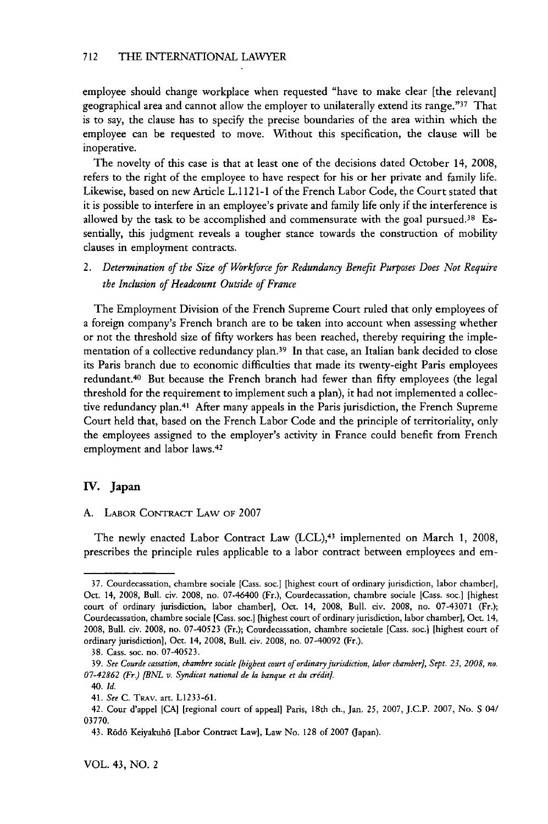employee should change workplace when requested "have to make clear [the relevant] geographical area and cannot allow the employer to unilaterally extend its range."37 That is to say, the clause has to specify the precise boundaries of the area within which the employee can be requested to move. Without this specification, the clause will be inoperative.

The novelty of this case is that at least one of the decisions dated October 14, 2008, refers to the right of the employee to have respect for his or her private and family life. Likewise, based on new Article L. 112 *1-1* of the French Labor Code, the Court stated that it is possible to interfere in an employee's private and family life only if the interference is allowed by the task to be accomplished and commensurate with the goal pursued.<sup>38</sup> Essentially, this judgment reveals a tougher stance towards the construction of mobility clauses in employment contracts.

*2. Determination of the Size of Workforce for Redundancy Benefit Purposes Does Not Require the Inclusion of Headcount Outside of France*

The Employment Division of the French Supreme Court ruled that only employees of a foreign company's French branch are to be taken into account when assessing whether or not the threshold size of fifty workers has been reached, thereby requiring the implementation of a collective redundancy plan.<sup>39</sup> In that case, an Italian bank decided to close its Paris branch due to economic difficulties that made its twenty-eight Paris employees redundant.40 But because the French branch had fewer than fifty employees (the legal threshold for the requirement to implement such a plan), it had not implemented a collective redundancy plan.41 After many appeals in the Paris jurisdiction, the French Supreme Court held that, based on the French Labor Code and the principle of territoriality, only the employees assigned to the employer's activity in France could benefit from French employment and labor laws. <sup>42</sup>

# **IV. Japan**

#### A. LABOR CONTRACT LAW OF 2007

The newly enacted Labor Contract Law (LCL),<sup>43</sup> implemented on March 1, 2008 prescribes the principle rules applicable to a labor contract between employees and em-

<sup>37.</sup> Courdecassation, chambre sociale [Cass. soc.] [highest court of ordinary jurisdiction, labor chamber], Oct. 14, 2008, Bull. civ. 2008, no. 07-46400 (Fr.), Courdecassation, chambre sociale [Cass. soc.] [highest court of ordinary jurisdiction, labor chamber], Oct. 14, 2008, Bull. civ. 2008, no. 07-43071 (Fr.); Courdecassation, chambre sociale [Cass. soc.] [highest court of ordinary jurisdiction, labor chamber], Oct. 14, 2008, Bull. civ. 2008, no. 07-40523 (Fr.); Courdecassation, chambre societale [Cass. soc.] [highest court of ordinary jurisdiction), Oct. 14, 2008, Bull. civ. 2008, no. 07-40092 (Fr.).

<sup>38.</sup> Cass. soc. no. 07-40523.

<sup>39.</sup> *See Courde cassation, chambre sociale [highest court of ordinary jurisdiction, labor chamber], Sept. 23, 2008, no. 07-42862 (Fr.) [BNL v. Syndicat national de la banque et du credit].*

*<sup>40.</sup> Id.*

<sup>41.</sup> *See* C. TRAv. art. L1233-61.

<sup>42.</sup> Cour d'appel [CA] [regional court of appeal] Paris, 18th ch., Jan. *25,* 2007, J.C.P. 2007, No. S 04/ 03770.

<sup>43.</sup> R6d6 Keiyakuh6 [Labor Contract Law], Law No. 128 of 2007 (Japan).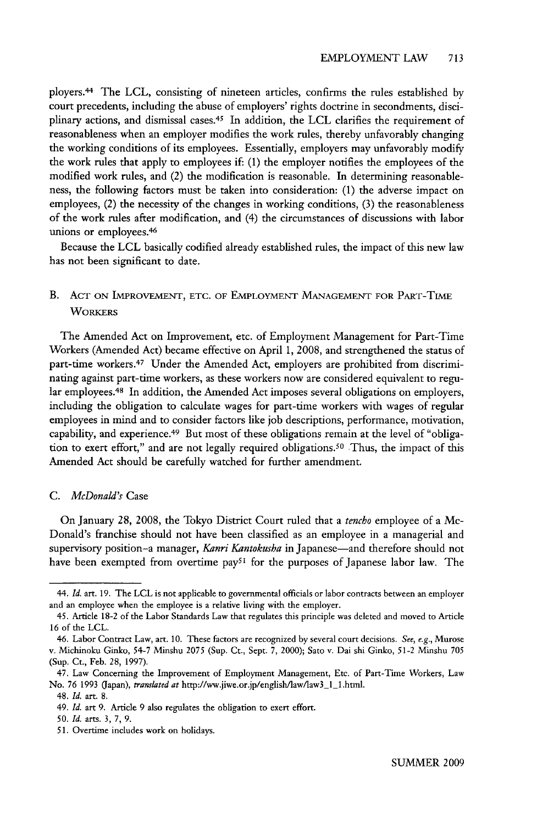ployers.44 The LCL, consisting of nineteen articles, confirms the rules established by court precedents, including the abuse of employers' rights doctrine in secondments, disciplinary actions, and dismissal cases.<sup>45</sup> In addition, the LCL clarifies the requirement of reasonableness when an employer modifies the work rules, thereby unfavorably changing the working conditions of its employees. Essentially, employers may unfavorably modify the work rules that apply to employees if: (1) the employer notifies the employees of the modified work rules, and (2) the modification is reasonable. In determining reasonableness, the following factors must be taken into consideration: (1) the adverse impact on employees, (2) the necessity of the changes in working conditions, (3) the reasonableness of the work rules after modification, and (4) the circumstances of discussions with labor unions or employees. <sup>46</sup>

Because the LCL basically codified already established rules, the impact of this new law has not been significant to date.

# B. **ACT ON** IMPROVEMENT, **ETC.** OF EMPLOYMENT **MANAGEMENT** FOR PART-TIME **WORKERS**

The Amended Act on Improvement, etc. of Employment Management for Part-Time Workers (Amended Act) became effective on April 1, 2008, and strengthened the status of part-time workers. 47 Under the Amended Act, employers are prohibited from discriminating against part-time workers, as these workers now are considered equivalent to regular employees. 48 In addition, the Amended Act imposes several obligations on employers, including the obligation to calculate wages for part-time workers with wages of regular employees in mind and to consider factors like job descriptions, performance, motivation, capability, and experience. 49 But most of these obligations remain at the level of "obligation to exert effort," and are not legally required obligations. 50 Thus, the impact of this Amended Act should be carefully watched for further amendment.

#### *C. McDonald's* Case

On January 28, 2008, the Tokyo District Court ruled that a *tencho* employee of a Mc-Donald's franchise should not have been classified as an employee in a managerial and supervisory position-a manager, *Kanri Kantokusha* in Japanese-and therefore should not have been exempted from overtime  $pay<sup>51</sup>$  for the purposes of Japanese labor law. The

<sup>44.</sup> *Id.* art. 19. The LCL is not applicable to goverrnental officials or labor contracts between an employer and an employee when the employee is a relative living with the employer.

<sup>45.</sup> Article 18-2 of the Labor Standards Law that regulates this principle was deleted and moved to Article 16 of the LCL.

<sup>46.</sup> Labor Contract Law, art. 10. These factors are recognized by several court decisions. *See,* e.g., Murose v. Michinoku Ginko, 54-7 Minshu 2075 (Sup. Ct., Sept. 7, 2000); Sato v. Dai shi Ginko, 51-2 Minshu 705 (Sup. Ct., Feb. 28, 1997).

<sup>47.</sup> Law Concerning the Improvement of Employment Management, Etc. of Part-Time Workers, Law No. 76 1993 (Japan), *translated at* http://ww.jiwe.or.jp/english/law/law3\_1\_1.html.

<sup>48.</sup> *Id.* art. 8.

<sup>49.</sup> *Id.* art 9. Article 9 also regulates the obligation to exert effort.

*<sup>50.</sup> Id.* arts. 3, 7, 9.

<sup>51.</sup> Overtime includes work on holidays.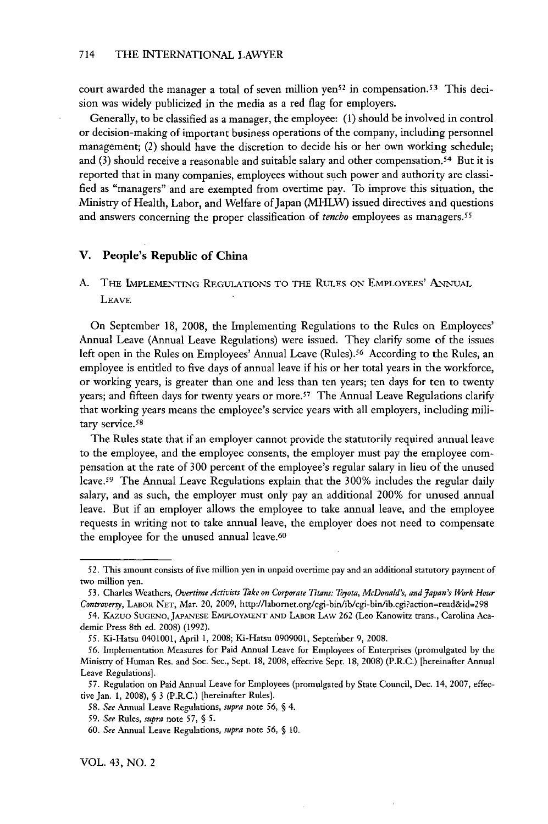court awarded the manager a total of seven million yen<sup>52</sup> in compensation.<sup>53</sup> This decision was widely publicized in the media as a red flag for employers.

Generally, to be classified as a manager, the employee: **(1)** should be involved in control or decision-making of important business operations of the company, including personnel management; (2) should have the discretion to decide his or her own working schedule; and (3) should receive a reasonable and suitable salary and other compensation. 54 But it is reported that in many companies, employees without such power and authority are classified as "managers" and are exempted from overtime pay. To improve this situation, the Ministry of Health, Labor, and Welfare of Japan (MHLW) issued directives and questions and answers concerning the proper classification of *tencho* employees as managers. <sup>55</sup>

# V. People's Republic of China

**A.** THE IMPLEMENTING REGULATIONS TO THE RULES **ON** EMPLOYEES' ANNUAL LEAVE

On September 18, 2008, the Implementing Regulations to the Rules on Employees' Annual Leave (Annual Leave Regulations) were issued. They clarify some of the issues left open in the Rules on Employees' Annual Leave (Rules). 56 According to the Rules, an employee is entitled to five days of annual leave if his or her total years in the workforce, or working years, is greater than one and less than ten years; ten days for ten to twenty years; and fifteen days for twenty years or more.<sup>57</sup> The Annual Leave Regulations clarify that working years means the employee's service years with all employers, including military service.<sup>58</sup>

The Rules state that if an employer cannot provide the statutorily required annual leave to the employee, and the employee consents, the employer must pay the employee compensation at the rate of 300 percent of the employee's regular salary in lieu of the unused leave.59 The Annual Leave Regulations explain that the 300% includes the regular daily salary, and as such, the employer must only pay an additional 200% for unused annual leave. But if an employer allows the employee to take annual leave, and the employee requests in writing not to take annual leave, the employer does not need to compensate the employee for the unused annual leave.<sup>60</sup>

**<sup>52.</sup>** This amount consists of five million yen in unpaid overtime pay and an additional statutory payment of two million yen.

*<sup>53.</sup>* Charles Weathers, *Overtime Activits Take on Corporate Titans: Toyota, McDonald's, and Japan's Work Hour Controversy,* LABOR **NET,** Mar. 20, 2009, http://labomet.org/cgi-bin/ib/cgi-bin/ib.cgi?action=read&id=298

*<sup>54.</sup>* KAzuo **SUGENO, JAPANESE EMPLOYMENT AND** LABOR LAW 262 (Leo Kanowitz trans., Carolina Academic Press 8th ed. 2008) (1992).

*<sup>55.</sup>* Ki-Hatsu 0401001, April 1, 2008; Ki-Hatsu 0909001, September 9, 2008.

<sup>56.</sup> Implementation Measures for Paid Annual Leave for Employees of Enterprises (promulgated by the Ministry of Human Res. and Soc. Sec., Sept. 18, 2008, effective Sept. 18, 2008) (P.R.C.) [hereinafter Annual Leave Regulations].

<sup>57.</sup> Regulation on Paid Annual Leave for Employees (promulgated by State Council, Dec. 14, 2007, effective Jan. 1, 2008), § 3 (P.R.C.) [hereinafter Rules].

*<sup>58.</sup> See* Annual Leave Regulations, *supra* note 56, § 4.

*<sup>59.</sup> See* Rules, *supra* note *57,* § 5.

<sup>60.</sup> *See* Annual Leave Regulations, *supra* note *56,* § 10.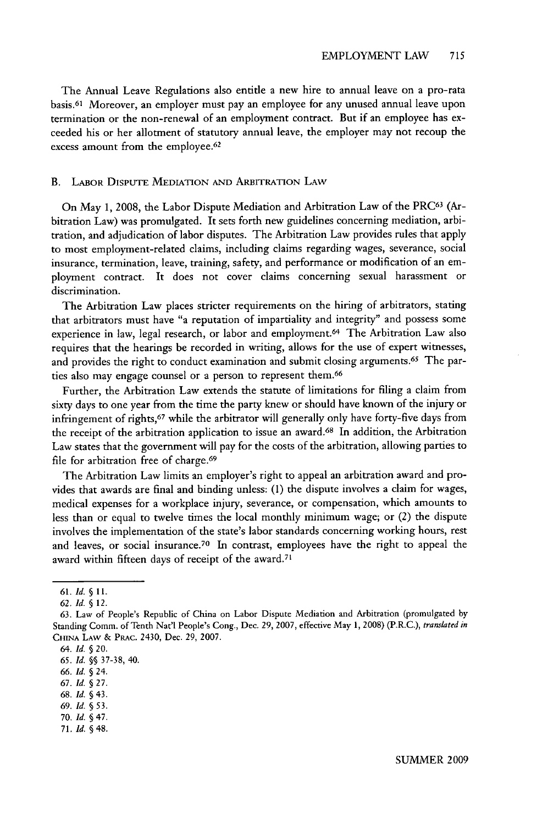The Annual Leave Regulations also entitle a new hire to annual leave on a pro-rata basis.61 Moreover, an employer must pay an employee for any unused annual leave upon termination or the non-renewal of an employment contract. But if an employee has exceeded his or her allotment of statutory annual leave, the employer may not recoup the excess amount from the employee.<sup>62</sup>

#### B. LABOR DIsPuTE **MEDIATION AND** ARBITRATION LAW

On May 1, 2008, the Labor Dispute Mediation and Arbitration Law of the PRC63 (Arbitration Law) was promulgated. It sets forth new guidelines concerning mediation, arbitration, and adjudication of labor disputes. The Arbitration Law provides rules that apply to most employment-related claims, including claims regarding wages, severance, social insurance, termination, leave, training, safety, and performance or modification of an employment contract. It does not cover claims concerning sexual harassment or discrimination.

The Arbitration Law places stricter requirements on the hiring of arbitrators, stating that arbitrators must have "a reputation of impartiality and integrity" and possess some experience in law, legal research, or labor and employment.<sup>64</sup> The Arbitration Law also requires that the hearings be recorded in writing, allows for the use of expert witnesses, and provides the right to conduct examination and submit closing arguments.<sup>65</sup> The parties also may engage counsel or a person to represent them.<sup>66</sup>

Further, the Arbitration Law extends the statute of limitations for filing a claim from sixty days to one year from the time the party knew or should have known of the injury or infringement of rights, 67 while the arbitrator will generally only have forty-five days from the receipt of the arbitration application to issue an award.<sup>68</sup> In addition, the Arbitration Law states that the government will pay for the costs of the arbitration, allowing parties to file for arbitration free of charge.<sup>69</sup>

The Arbitration Law limits an employer's right to appeal an arbitration award and provides that awards are final and binding unless: (1) the dispute involves a claim for wages, medical expenses for a workplace injury, severance, or compensation, which amounts to less than or equal to twelve times the local monthly minimum wage; or (2) the dispute involves the implementation of the state's labor standards concerning working hours, rest and leaves, or social insurance.70 In contrast, employees have the right to appeal the award within fifteen days of receipt of the award.<sup>71</sup>

**71.** *Id.* §48.

**<sup>61.</sup>** *Id. §* **11.**

<sup>62.</sup> *Id. §* 12.

**<sup>63.</sup>** Law of People's Republic of China on Labor Dispute Mediation and Arbitration (promulgated by Standing Comm. of Tenth Nat'l People's Cong., Dec. 29, 2007, effective May 1, 2008) (P.R.C.), *translated in* **CHINA** LAW & PRAC. 2430, Dec. 29, 2007.

<sup>64.</sup> *Id. § 20.*

*<sup>65.</sup> Id.* **§§ 37-38,** 40.

*<sup>66.</sup> Id.* **§** 24.

**<sup>67.</sup>** *Id.* **§ 27.**

**<sup>68.</sup>** *Id. §* 43.

**<sup>69.</sup>** *Id. §* **53.**

**<sup>70.</sup>** *Id.* **§ 47.**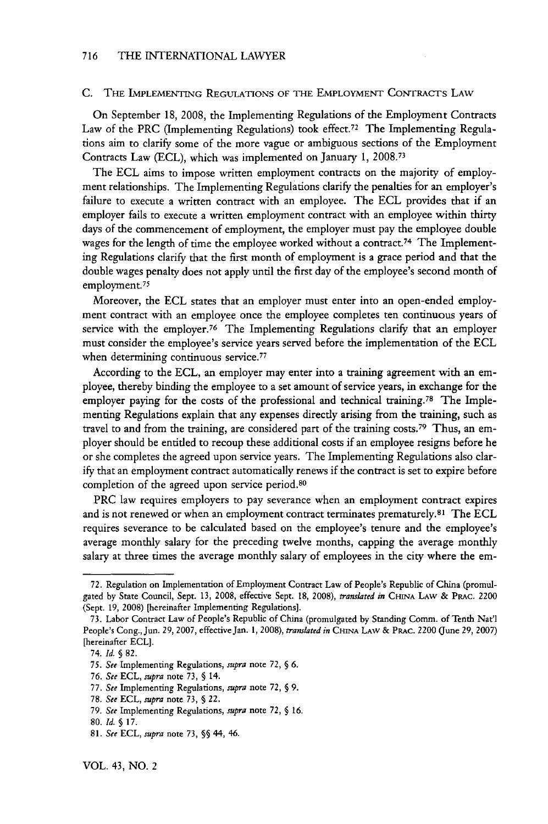#### C. THE IMPLEMENTING REGULATIONS OF THE EMPLOYMENT CONTRACTs LAW

On September 18, 2008, the Implementing Regulations of the Employment Contracts Law of the PRC (Implementing Regulations) took effect.72 The Implementing Regulations aim to clarify some of the more vague or ambiguous sections of the Employment Contracts Law (ECL), which was implemented on January 1, **2008.<sup>7</sup> <sup>3</sup>**

The ECL aims to impose written employment contracts on the majority of employment relationships. The Implementing Regulations clarify the penalties for an employer's failure to execute a written contract with an employee. The ECL provides that if an employer fails to execute a written employment contract with an employee within thirty days of the commencement of employment, the employer must pay the employee double wages for the length of time the employee worked without a contract.<sup>74</sup> The Implementing Regulations clarify that the first month of employment is a grace period and that the double wages penalty does not apply until the first day of the employee's second month of employment.<sup>75</sup>

Moreover, the ECL states that an employer must enter into an open-ended employment contract with an employee once the employee completes ten continuous years of service with the employer.<sup>76</sup> The Implementing Regulations clarify that an employer must consider the employee's service years served before the implementation of the ECL when determining continuous service.<sup>77</sup>

According to the ECL, an employer may enter into a training agreement with an employee, thereby binding the employee to a set amount of service years, in exchange for the employer paying for the costs of the professional and technical training.<sup>78</sup> The Implementing Regulations explain that any expenses directly arising from the training, such as travel to and from the training, are considered part of the training costs. 79 Thus, an employer should be entitled to recoup these additional costs if an employee resigns before he or she completes the agreed upon service years. The Implementing Regulations also clarify that an employment contract automatically renews if the contract is set to expire before completion of the agreed upon service period.<sup>80</sup>

PRC law requires employers to pay severance when an employment contract expires and is not renewed or when an employment contract terminates prematurely.81 The ECL requires severance to be calculated based on the employee's tenure and the employee's average monthly salary for the preceding twelve months, capping the average monthly salary at three times the average monthly salary of employees in the city where the em-

<sup>72.</sup> Regulation on Implementation of Employment Contract Law of People's Republic of China (promulgated by State Council, Sept. 13, 2008, effective Sept. 18, 2008), *translated in* CHINA LAW & PRAc. 2200 (Sept. 19, 2008) [hereinafter Implementing Regulations].

<sup>73.</sup> Labor Contract Law of People's Republic of China (promulgated by Standing Comm. of Tenth Nat'l People's Cong., Jun. 29, 2007, effective Jan. **1,** 2008), *translated in* CHINA LAW & PRAc. 2200 (June 29, 2007) [hereinafter ECL].

<sup>74.</sup> *Id. §* 82.

<sup>75.</sup> *See* Implementing Regulations, *supra* note 72, § 6.

<sup>76.</sup> *See* ECL, *supra* note 73, § 14.

<sup>77.</sup> *See* Implementing Regulations, *supra* note 72, § 9.

<sup>78.</sup> *See* ECL, *supra* note 73, § 22.

<sup>79.</sup> *See* Implementing Regulations, *supra* note 72, § 16.

**<sup>80.</sup>** *Id.* § **17.**

**<sup>81.</sup>** *See* **ECL,** *supra* note **73,** §§ 44, 46.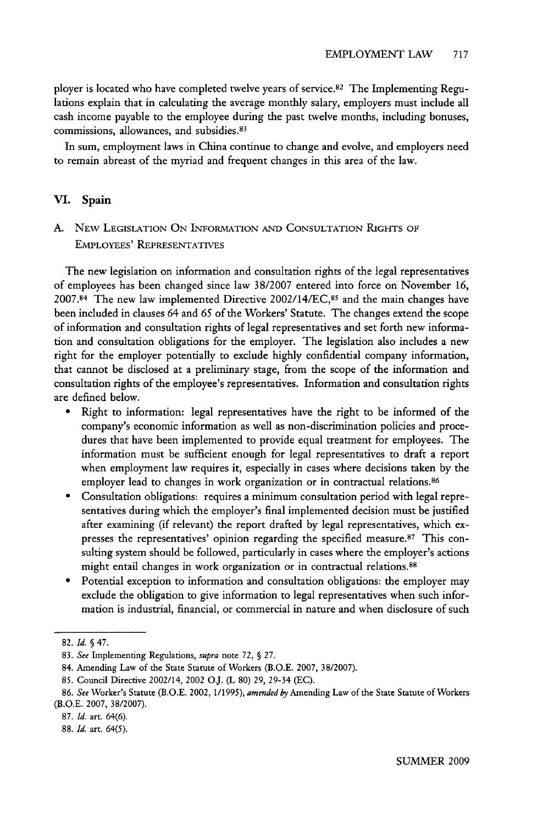ployer is located who have completed twelve years of service.<sup>82</sup> The Implementing Regulations explain that in calculating the average monthly salary, employers must include all cash income payable to the employee during the past twelve months, including bonuses, commissions, allowances, and subsidies.<sup>83</sup>

In sum, employment laws in China continue to change and evolve, and employers need to remain abreast of the myriad and frequent changes in this area of the law.

# **VI.** Spain

**A.** NEW LEGISLATION ON INFORMATION *AND* CONSULTATION RIGHTS OF EMPLOYEES' REPRESENTATIVES

The new legislation on information and consultation rights of the legal representatives of employees has been changed since law 38/2007 entered into force on November 16, 2007.84 The new law implemented Directive 2002/14/EC,85 and the main changes have been included in clauses 64 and 65 of the Workers' Statute. The changes extend the scope of information and consultation rights of legal representatives and set forth new information and consultation obligations for the employer. The legislation also includes a new right for the employer potentially to exclude highly confidential company information, that cannot be disclosed at a preliminary stage, from the scope of the information and consultation rights of the employee's representatives. Information and consultation rights are defined below.

- **"** Right to information: legal representatives have the right to be informed of the company's economic information as well as non-discrimination policies and procedures that have been implemented to provide equal treatment for employees. The information must be sufficient enough for legal representatives to draft a report when employment law requires it, especially in cases where decisions taken by the employer lead to changes in work organization or in contractual relations.<sup>86</sup>
- \* Consultation obligations: requires a minimum consultation period with legal representatives during which the employer's final implemented decision must be justified after examining (if relevant) the report drafted by legal representatives, which expresses the representatives' opinion regarding the specified measure.<sup>87</sup> This consulting system should be followed, particularly in cases where the employer's actions might entail changes in work organization or in contractual relations. <sup>88</sup>
- Potential exception to information and consultation obligations: the employer may exclude the obligation to give information to legal representatives when such information is industrial, financial, or commercial in nature and when disclosure of such

<sup>82.</sup> *Id. §* 47.

<sup>83.</sup> *See* Implementing Regulations, *supra* note 72, § 27.

<sup>84.</sup> Amending Law of the State Statute of Workers (B.O.E. 2007, 38/2007).

<sup>85.</sup> Council Directive 2002/14, 2002 OJ. (L 80) 29, 29-34 (EC).

<sup>86.</sup> *See* Worker's Statute (B.O.E. 2002, 1/1995), *amended by* Amending Law of the State Statute of Workers (B.O.E. 2007, 38/2007).

<sup>87.</sup> *Id.* art. 64(6).

<sup>88.</sup> *Id.* art. 64(5).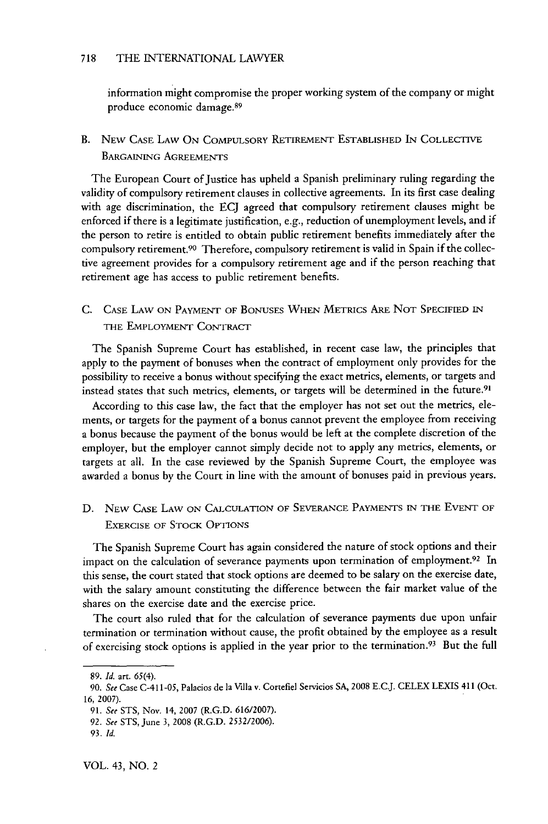#### 718 THE INTERNATIONAL LAWYER

information might compromise the proper working system of the company or might produce economic damage.<sup>89</sup>

B. **NEW CASE** LAW **ON** COMPULSORY RETIREMENT **ESTABLISHED IN COLLECTIVE** BARGAINING **AGREEMENTS**

The European Court of Justice has upheld a Spanish preliminary ruling regarding the validity of compulsory retirement clauses in collective agreements. In its first case dealing with age discrimination, the ECJ agreed that compulsory retirement clauses might be enforced if there is a legitimate justification, e.g., reduction of unemployment levels, and if the person to retire is entitled to obtain public retirement benefits immediately after the compulsory retirement.90 Therefore, compulsory retirement is valid in Spain if the collective agreement provides for a compulsory retirement age and if the person reaching that retirement age has access to public retirement benefits.

**C.** CASE LAW **ON** PAYMENT OF **BONUSES WHEN** METRICS ARE **NOT** SPECIFIED **IN** THE EMPLOYMENT **CONTRACT**

The Spanish Supreme Court has established, in recent case law, the principles that apply to the payment of bonuses when the contract of employment only provides for the possibility to receive a bonus without specifying the exact metrics, elements, or targets and instead states that such metrics, elements, or targets will be determined in the future. <sup>91</sup>

According to this case law, the fact that the employer has not set out the metrics, elements, or targets for the payment of a bonus cannot prevent the employee from receiving a bonus because the payment of the bonus would be left at the complete discretion of the employer, but the employer cannot simply decide not to apply any metrics, elements, or targets at all. In the case reviewed by the Spanish Supreme Court, the employee was awarded a bonus by the Court in line with the amount of bonuses paid in previous years.

D. NEW CASE LAW ON CALCULATION OF SEVERANCE PAYMENTS IN THE EVENT OF EXERCISE OF STOCK **OPTIONS**

The Spanish Supreme Court has again considered the nature of stock options and their impact on the calculation of severance payments upon termination of employment.<sup>92</sup> In this sense, the court stated that stock options are deemed to be salary on the exercise date, with the salary amount constituting the difference between the fair market value of the shares on the exercise date and the exercise price.

The court also ruled that for the calculation of severance payments due upon unfair termination or termination without cause, the profit obtained by the employee as a result of exercising stock options is applied in the year prior to the termination.<sup>93</sup> But the full

<sup>89.</sup> *Id.* art. 65(4).

**<sup>90.</sup>** See Case C-411-05, Palacios de la Villa v. Cortefiel Servicios SA, 2008 E.C.J. CELEX LEXIS 411 (Oct. 16, 2007).

<sup>91.</sup> *See* STS, Nov. 14, 2007 (R.G.D. 616/2007).

<sup>92.</sup> *See* STS, June 3, 2008 (R.G.D. 2532/2006).

<sup>93.</sup> *Id.*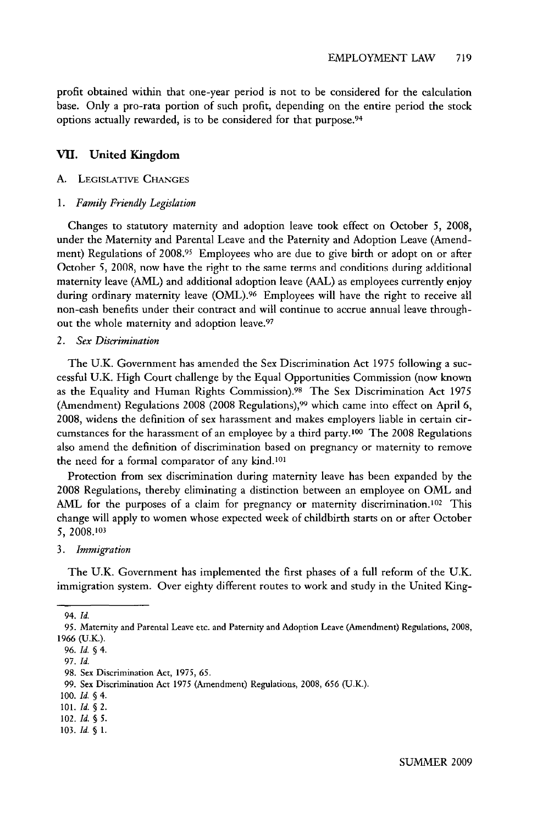profit obtained within that one-year period is not to be considered for the calculation base. Only a pro-rata portion of such profit, depending on the entire period the stock options actually rewarded, is to be considered for that purpose.<sup>94</sup>

## VI. United Kingdom

### **A. LEGISLATIVE** CHANGES

#### *1. Family Friendly Legislation*

Changes to statutory maternity and adoption leave took effect on October 5, 2008, under the Maternity and Parental Leave and the Paternity and Adoption Leave (Amendment) Regulations of 2008.<sup>95</sup> Employees who are due to give birth or adopt on or after October 5, 2008, now have the right to the same terms and conditions during additional maternity leave (AML) and additional adoption leave (AAL) as employees currently enjoy during ordinary maternity leave (OML).<sup>96</sup> Employees will have the right to receive all non-cash benefits under their contract and will continue to accrue annual leave throughout the whole maternity and adoption leave.97

# *2. Sex Discrimination*

The U.K. Government has amended the Sex Discrimination Act 1975 following a successful U.K. High Court challenge by the Equal Opportunities Commission (now known as the Equality and Human Rights Commission). 98 The Sex Discrimination Act 1975 (Amendment) Regulations 2008 (2008 Regulations),<sup>99</sup> which came into effect on April 6, 2008, widens the definition of sex harassment and makes employers liable in certain circumstances for the harassment of an employee by a third party. 00 The 2008 Regulations also amend the definition of discrimination based on pregnancy or maternity to remove the need for a formal comparator of any kind.<sup>10</sup>

Protection from sex discrimination during maternity leave has been expanded by the 2008 Regulations, thereby eliminating a distinction between an employee on OML and AML for the purposes of a claim for pregnancy or maternity discrimination.<sup>102</sup> This change will apply to women whose expected week of childbirth starts on or after October 5, 2008.103

#### *3. Immigration*

The U.K. Government has implemented the first phases of a full reform of the U.K. immigration system. Over eighty different routes to work and study in the United King-

103. *Id. § 1.*

<sup>94.</sup> *Id.*

<sup>95.</sup> Maternity and Parental Leave etc. and Paternity and Adoption Leave (Amendment) Regulations, 2008, 1966 (U.K.).

<sup>96.</sup> *Id.* § 4.

<sup>97.</sup> *Id.*

<sup>98.</sup> Sex Discrimination Act, *1975, 65.*

<sup>99.</sup> Sex Discrimination Act 1975 (Amendment) Regulations, 2008, 656 (U.K).

<sup>100.</sup> *Id. §* 4.

<sup>101.</sup> *Id. § 2.*

<sup>102.</sup> *Id. § 5.*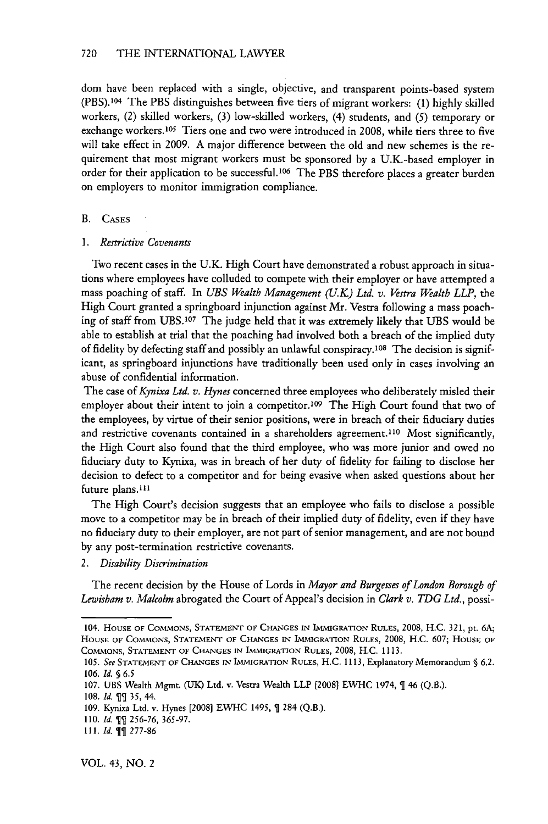dom have been replaced with a single, objective, and transparent points-based system (PBS).104 The PBS distinguishes between five tiers of migrant workers: (1) highly skilled workers, (2) skilled workers, (3) low-skilled workers, (4) students, and *(5)* temporary or exchange workers. 105 Tiers one and two were introduced in 2008, while tiers three to five will take effect in 2009. A major difference between the old and new schemes is the requirement that most migrant workers must be sponsored by a U.K.-based employer in order for their application to be successful.<sup>106</sup> The PBS therefore places a greater burden on employers to monitor immigration compliance.

#### B. CASES

#### *1. Restrictive Covenants*

Two recent cases in the U.K. High Court have demonstrated a robust approach in situations where employees have colluded to compete with their employer or have attempted a mass poaching of staff. In *UBS Wealth Management (UK) Ltd. v. Vestra Wealth LLP,* the High Court granted a springboard injunction against Mr. Vestra following a mass poaching of staff from UBS. 107 The judge held that it was extremely likely that UBS would be able to establish at trial that the poaching had involved both a breach of the implied duty of fidelity by defecting staff and possibly an unlawful conspiracy.108 The decision is significant, as springboard injunctions have traditionally been used only in cases involving an abuse of confidential information.

The case of *Kynixa Ltd. v. Hynes* concerned three employees who deliberately misled their employer about their intent to join a competitor.<sup>109</sup> The High Court found that two of the employees, by virtue of their senior positions, were in breach of their fiduciary duties and restrictive covenants contained in a shareholders agreement.<sup>110</sup> Most significantly, the High Court also found that the third employee, who was more junior and owed no fiduciary duty to Kynixa, was in breach of her duty of fidelity for failing to disclose her decision to defect to a competitor and for being evasive when asked questions about her future plans.<sup>111</sup>

The High Court's decision suggests that an employee who fails to disclose a possible move to a competitor may be in breach of their implied duty of fidelity, even if they have no fiduciary duty to their employer, are not part of senior management, and are not bound by any post-termination restrictive covenants.

#### *2. Disability Discrimination*

The recent decision by the House of Lords in *Mayor and Burgesses of London Borough of Lewisbam v. Malcolm* abrogated the Court of Appeal's decision in *Clark v. TDG Ltd.,* possi-

<sup>104.</sup> HOUSE OF COMMONS, STATEMENT OF CHANGES IN IMMIGRATION RULES, 2008, H.C. 321, pt. 6A; HOUSE OF COMMONS, STATEMENT OF **CHANGES** IN **IMMIGRATION** RULES, 2008, H.C. 607; HousE **OF** COMMONS, STATEMENT **OF CHANGES** IN IMMIGRATION RULES, 2008, H.C. 1113.

*<sup>105.</sup>* See **STATEMENT OF CHANGES** IN IMMIGRATION RULES, H.C. 1113, Explanatory Memorandum **§** 6.2. *106. Id. §* **6.5**

<sup>107.</sup> UBS Wealth Mgmt. (UK) Ltd. v. Vestra Wealth LLP [2008] EWHC 1974, **1** 46 (Q.B.).

**<sup>108.</sup>** *Id. \$1 35,* 44.

<sup>109.</sup> Kynixa Ltd. v. Hynes [2008] EWHC 1495, **\$** 284 (Q.B.).

<sup>110.</sup> *Id. 11256-76,* 365-97.

<sup>111.</sup> *Id.* **11** 277-86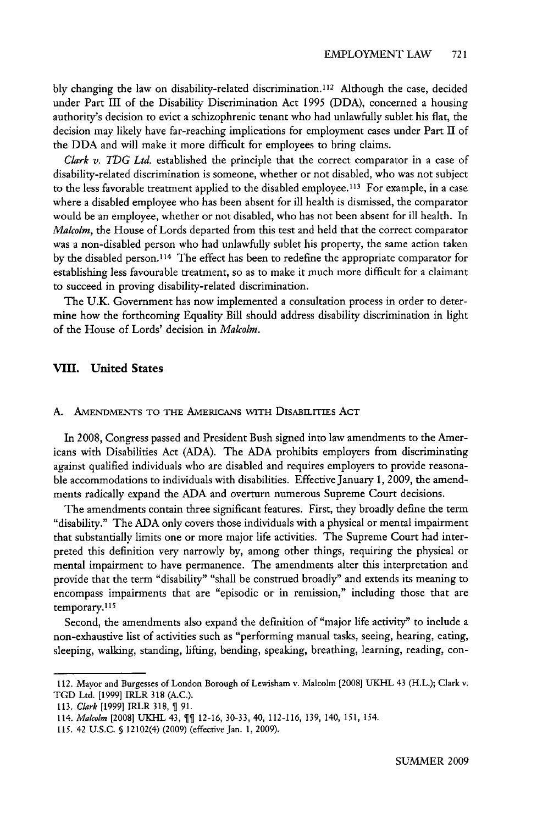bly changing the law on disability-related discrimination.<sup>112</sup> Although the case, decided under Part III of the Disability Discrimination Act 1995 (DDA), concerned a housing authority's decision to evict a schizophrenic tenant who had unlawfully sublet his flat, the decision may likely have far-reaching implications for employment cases under Part II of the DDA and will make it more difficult for employees to bring claims.

Clark *v. TDG Ltd.* established the principle that the correct comparator in a case of disability-related discrimination is someone, whether or not disabled, who was not subject to the less favorable treatment applied to the disabled employee. 113 For example, in a case where a disabled employee who has been absent for ill health is dismissed, the comparator would be an employee, whether or not disabled, who has not been absent for ill health. In *Malcolm,* the House of Lords departed from this test and held that the correct comparator was a non-disabled person who had unlawfully sublet his property, the same action taken by the disabled person.<sup>114</sup> The effect has been to redefine the appropriate comparator for establishing less favourable treatment, so as to make it much more difficult for a claimant to succeed in proving disability-related discrimination.

The U.K. Government has now implemented a consultation process in order to determine how the forthcoming Equality Bill should address disability discrimination in light of the House of Lords' decision in *Malcolm.*

# **VIII.** United States

### **A.** AMENDMENTS TO THE AMERICANS WITh DISABILITIES ACT

In 2008, Congress passed and President Bush signed into law amendments to the Americans with Disabilities Act (ADA). The ADA prohibits employers from discriminating against qualified individuals who are disabled and requires employers to provide reasonable accommodations to individuals with disabilities. Effective January 1, 2009, the amendments radically expand the ADA and overturn numerous Supreme Court decisions.

The amendments contain three significant features. First, they broadly define the term "disability." The ADA only covers those individuals with a physical or mental impairment that substantially limits one or more major life activities. The Supreme Court had interpreted this definition very narrowly by, among other things, requiring the physical or mental impairment to have permanence. The amendments alter this interpretation and provide that the term "disability" "shall be construed broadly" and extends its meaning to encompass impairments that are "episodic or in remission," including those that are temporary. **15**

Second, the amendments also expand the definition of "major life activity" to include a non-exhaustive list of activities such as "performing manual tasks, seeing, hearing, eating, sleeping, walking, standing, lifting, bending, speaking, breathing, learning, reading, con-

<sup>112.</sup> Mayor and Burgesses of London Borough of Lewisham v. Malcolm [2008] UKHL 43 (H.L.); Clark v. TGD Ltd. [1999] IRLR 318 (A.C.).

<sup>113.</sup> Clark [1999] IRLR 318, **1 91.**

<sup>114.</sup> Malcolm [2008] UKHL 43, **1** 12-16, 30-33, 40, 112-116, 139, 140, 151, 154.

<sup>115. 42</sup> U.S.C. § 12102(4) (2009) (effective Jan. 1, 2009).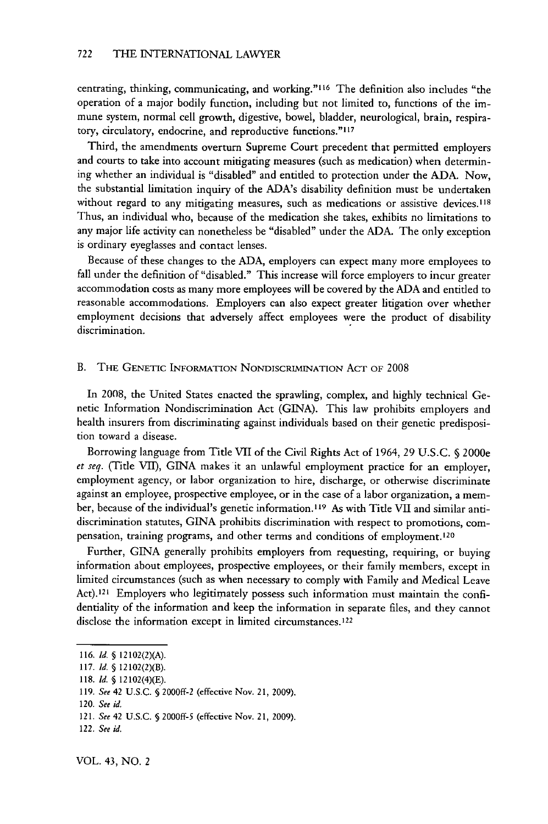centrating, thinking, communicating, and working."<sup>116</sup> The definition also includes "the operation of a major bodily function, including but not limited to, functions of the immune system, normal cell growth, digestive, bowel, bladder, neurological, brain, respiratory, circulatory, endocrine, and reproductive functions."<sup>117</sup>

Third, the amendments overturn Supreme Court precedent that permitted employers and courts to take into account mitigating measures (such as medication) when determining whether an individual is "disabled" and entitled to protection under the ADA. Now, the substantial limitation inquiry of the ADA's disability definition must be undertaken without regard to any mitigating measures, such as medications or assistive devices.<sup>118</sup> Thus, an individual who, because of the medication she takes, exhibits no limitations to any major life activity can nonetheless be "disabled" under the ADA. The only exception is ordinary eyeglasses and contact lenses.

Because of these changes to the ADA, employers can expect many more employees to fall under the definition of "disabled." This increase will force employers to incur greater accommodation costs as many more employees will be covered by the ADA and entitled to reasonable accommodations. Employers can also expect greater litigation over whether employment decisions that adversely affect employees were the product of disability discrimination.

## B. THE GENETIC INFORMATION NONDISCRIMINATION ACT OF 2008

In 2008, the United States enacted the sprawling, complex, and highly technical Genetic Information Nondiscrimination Act (GINA). This law prohibits employers and health insurers from discriminating against individuals based on their genetic predisposition toward a disease.

Borrowing language from Title VII of the Civil Rights Act of 1964, 29 U.S.C. § 2000e *et seq.* (Title VII), GINA makes it an unlawful employment practice for an employer, employment agency, or labor organization to hire, discharge, or otherwise discriminate against an employee, prospective employee, or in the case of a labor organization, a member, because of the individual's genetic information.' **9** As with Title VII and similar antidiscrimination statutes, GINA prohibits discrimination with respect to promotions, compensation, training programs, and other terms and conditions of employment.120

Further, GINA generally prohibits employers from requesting, requiring, or buying information about employees, prospective employees, or their family members, except in limited circumstances (such as when necessary to comply with Family and Medical Leave Act).<sup>121</sup> Employers who legitimately possess such information must maintain the confidentiality of the information and keep the information in separate files, and they cannot disclose the information except in limited circumstances.<sup>122</sup>

<sup>116.</sup> *Id. §* 12102(2)(A).

**<sup>117.</sup>** *Id. §* 12102(2)(B).

<sup>118.</sup> *Id. §* 12102(4)(E).

<sup>119.</sup> *See* 42 U.S.C. *§* 2000ff-2 (effective Nov. 21, 2009).

<sup>120.</sup> *See id.*

<sup>121.</sup> *See* 42 U.S.C. § 2000ff-5 (effective Nov. 21, 2009).

<sup>122.</sup> *See id.*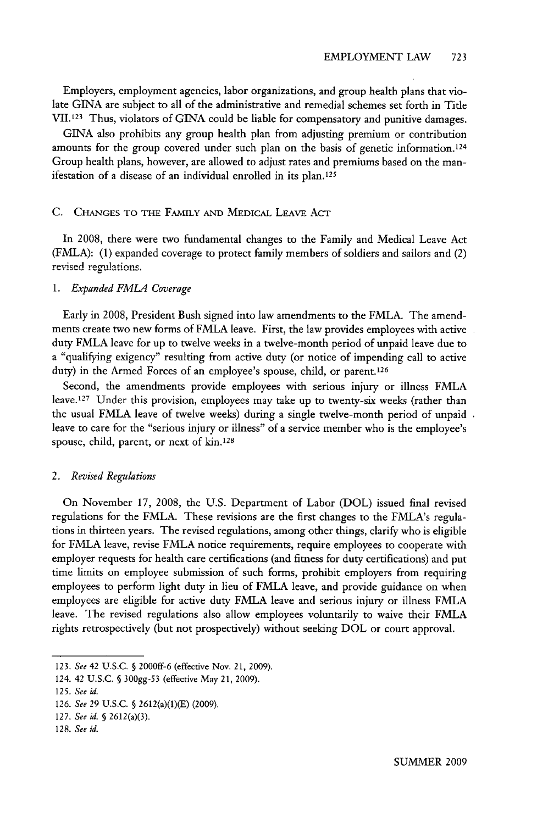Employers, employment agencies, labor organizations, and group health plans that violate GINA are subject to all of the administrative and remedial schemes set forth in Tide VII.123 Thus, violators of GINA could be liable for compensatory and punitive damages.

GINA also prohibits any group health plan from adjusting premium or contribution amounts for the group covered under such plan on the basis of genetic information.1<sup>24</sup> Group health plans, however, are allowed to adjust rates and premiums based on the manifestation of a disease of an individual enrolled in its plan. <sup>125</sup>

### C. CHANGES TO THE FAMILY **AND** MEDICAL LEAvE **ACT**

In 2008, there were two fundamental changes to the Family and Medical Leave Act (FMLA): (1) expanded coverage to protect family members of soldiers and sailors and (2) revised regulations.

#### *1. Expanded FMLA Coverage*

Early in 2008, President Bush signed into law amendments to the FMLA. The amendments create two new forms of FMLA leave. First, the law provides employees with active duty FMLA leave for up to twelve weeks in a twelve-month period of unpaid leave due to a "qualifying exigency" resulting from active duty (or notice of impending call to active duty) in the Armed Forces of an employee's spouse, child, or parent.<sup>126</sup>

Second, the amendments provide employees with serious injury or illness FMLA leave.<sup>127</sup> Under this provision, employees may take up to twenty-six weeks (rather than the usual FMLA leave of twelve weeks) during a single twelve-month period of unpaid leave to care for the "serious injury or illness" of a service member who is the employee's spouse, child, parent, or next of kin.<sup>128</sup>

#### *2. Revised Regulations*

On November 17, 2008, the U.S. Department of Labor (DOL) issued final revised regulations for the FMLA. These revisions are the first changes to the FMLA's regulations in thirteen years. The revised regulations, among other things, clarify who is eligible for FMLA leave, revise FMLA notice requirements, require employees to cooperate with employer requests for health care certifications (and fitness for duty certifications) and put time limits on employee submission of such forms, prohibit employers from requiring employees to perform light duty in lieu of FMLA leave, and provide guidance on when employees are eligible for active duty FMLA leave and serious injury or illness FMLA leave. The revised regulations also allow employees voluntarily to waive their FMLA rights retrospectively (but not prospectively) without seeking DOL or court approval.

<sup>123.</sup> *See* 42 U.S.C. § 2000ff-6 (effective Nov. 21, 2009).

<sup>124. 42</sup> U.S.C. § 300gg-53 (effective May 21, 2009).

*<sup>125.</sup> See id.*

<sup>126.</sup> *See* 29 U.S.C. § 2612(a)(1)(E) (2009).

**<sup>127.</sup>** *See id.* § 2612(a)(3).

<sup>128.</sup> *See id.*